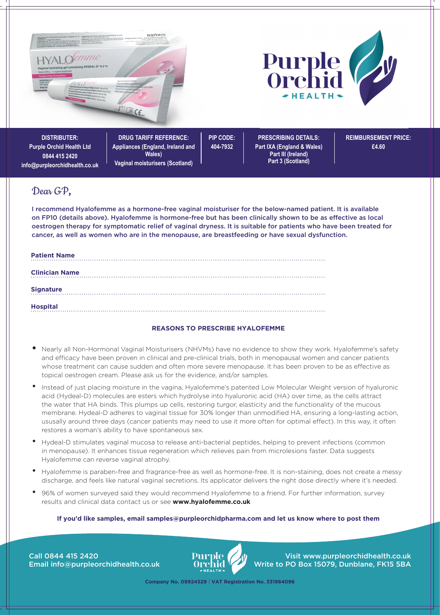

# Dear GP**,**

I recommend Hyalofemme as a hormone-free vaginal moisturiser for the below-named patient. It is available on FP10 (details above). Hyalofemme is hormone-free but has been clinically shown to be as effective as local oestrogen therapy for symptomatic relief of vaginal dryness. It is suitable for patients who have been treated for cancer, as well as women who are in the menopause, are breastfeeding or have sexual dysfunction.

| <b>Patient Name</b>   |  |  |  |  |
|-----------------------|--|--|--|--|
| <b>Clinician Name</b> |  |  |  |  |
| <b>Signature</b>      |  |  |  |  |
| <b>Hospital</b>       |  |  |  |  |

# **REASONS TO PRESCRIBE HYALOFEMME**

- **•** Nearly all Non-Hormonal Vaginal Moisturisers (NHVMs) have no evidence to show they work. Hyalofemme's safety and efficacy have been proven in clinical and pre-clinical trials, both in menopausal women and cancer patients whose treatment can cause sudden and often more severe menopause. It has been proven to be as effective as topical oestrogen cream. Please ask us for the evidence, and/or samples.
- Instead of just placing moisture in the vagina, Hyalofemme's patented Low Molecular Weight version of hyaluronic acid (Hydeal-D) molecules are esters which hydrolyse into hyaluronic acid (HA) over time, as the cells attract the water that HA binds. This plumps up cells, restoring turgor, elasticity and the functionality of the mucous membrane. Hydeal-D adheres to vaginal tissue for 30% longer than unmodified HA, ensuring a long-lasting action, ususally around three days (cancer patients may need to use it more often for optimal effect). In this way, it often restores a woman's ability to have spontaneous sex.
- Hydeal-D stimulates vaginal mucosa to release anti-bacterial peptides, helping to prevent infections (common in menopause). It enhances tissue regeneration which relieves pain from microlesions faster. Data suggests Hyalofemme can reverse vaginal atrophy.
- Hyalofemme is paraben-free and fragrance-free as well as hormone-free. It is non-staining, does not create a messy discharge, and feels like natural vaginal secretions. Its applicator delivers the right dose directly where it's needed.
- 96% of women surveyed said they would recommend Hyalofemme to a friend. For further information, survey results and clinical data contact us or see **www.hyalofemme.co.uk**

#### **If you'd like samples, email samples@purpleorchidpharma.com and let us know where to post them**

Call 0844 415 2420 Email info@purpleorchidhealth.co.uk



Visit www.purpleorchidhealth.co.uk Write to PO Box 15079, Dunblane, FK15 5BA

**Company No. 09924529 | VAT Registration No. 331984096**